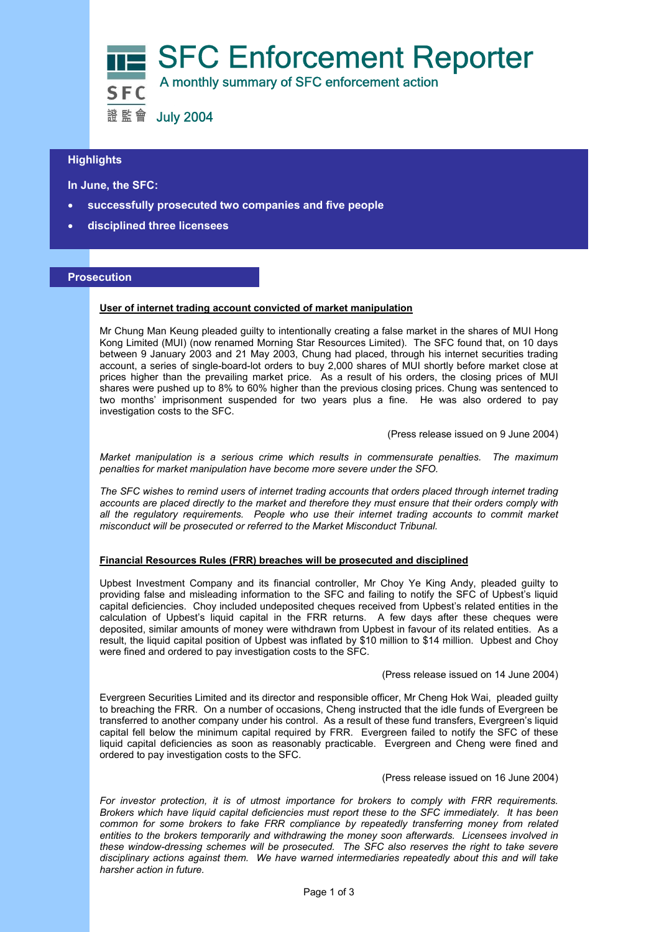

# **Highlights**

 **In June, the SFC:** 

- **successfully prosecuted two companies and five people**
- **disciplined three licensees**

### **Prosecution**

## **User of internet trading account convicted of market manipulation**

Mr Chung Man Keung pleaded guilty to intentionally creating a false market in the shares of MUI Hong Kong Limited (MUI) (now renamed Morning Star Resources Limited). The SFC found that, on 10 days between 9 January 2003 and 21 May 2003, Chung had placed, through his internet securities trading account, a series of single-board-lot orders to buy 2,000 shares of MUI shortly before market close at prices higher than the prevailing market price. As a result of his orders, the closing prices of MUI shares were pushed up to 8% to 60% higher than the previous closing prices. Chung was sentenced to two months' imprisonment suspended for two years plus a fine. He was also ordered to pay investigation costs to the SFC.

(Press release issued on 9 June 2004)

*Market manipulation is a serious crime which results in commensurate penalties. The maximum penalties for market manipulation have become more severe under the SFO.* 

*The SFC wishes to remind users of internet trading accounts that orders placed through internet trading accounts are placed directly to the market and therefore they must ensure that their orders comply with all the regulatory requirements. People who use their internet trading accounts to commit market misconduct will be prosecuted or referred to the Market Misconduct Tribunal.* 

#### **Financial Resources Rules (FRR) breaches will be prosecuted and disciplined**

Upbest Investment Company and its financial controller, Mr Choy Ye King Andy, pleaded guilty to providing false and misleading information to the SFC and failing to notify the SFC of Upbest's liquid capital deficiencies. Choy included undeposited cheques received from Upbest's related entities in the calculation of Upbest's liquid capital in the FRR returns. A few days after these cheques were deposited, similar amounts of money were withdrawn from Upbest in favour of its related entities. As a result, the liquid capital position of Upbest was inflated by \$10 million to \$14 million. Upbest and Choy were fined and ordered to pay investigation costs to the SFC.

#### (Press release issued on 14 June 2004)

Evergreen Securities Limited and its director and responsible officer, Mr Cheng Hok Wai, pleaded guilty to breaching the FRR. On a number of occasions, Cheng instructed that the idle funds of Evergreen be transferred to another company under his control. As a result of these fund transfers, Evergreen's liquid capital fell below the minimum capital required by FRR. Evergreen failed to notify the SFC of these liquid capital deficiencies as soon as reasonably practicable. Evergreen and Cheng were fined and ordered to pay investigation costs to the SFC.

(Press release issued on 16 June 2004)

*For investor protection, it is of utmost importance for brokers to comply with FRR requirements. Brokers which have liquid capital deficiencies must report these to the SFC immediately. It has been common for some brokers to fake FRR compliance by repeatedly transferring money from related entities to the brokers temporarily and withdrawing the money soon afterwards. Licensees involved in these window-dressing schemes will be prosecuted. The SFC also reserves the right to take severe disciplinary actions against them. We have warned intermediaries repeatedly about this and will take harsher action in future.*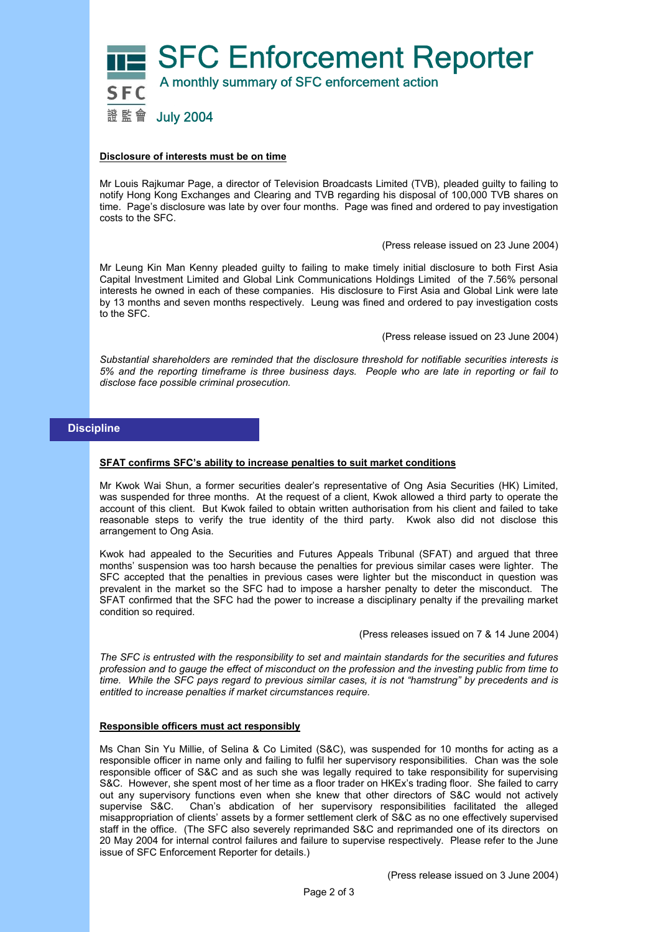

### **Disclosure of interests must be on time**

Mr Louis Rajkumar Page, a director of Television Broadcasts Limited (TVB), pleaded guilty to failing to notify Hong Kong Exchanges and Clearing and TVB regarding his disposal of 100,000 TVB shares on time. Page's disclosure was late by over four months. Page was fined and ordered to pay investigation costs to the SFC.

(Press release issued on 23 June 2004)

Mr Leung Kin Man Kenny pleaded guilty to failing to make timely initial disclosure to both First Asia Capital Investment Limited and Global Link Communications Holdings Limited of the 7.56% personal interests he owned in each of these companies. His disclosure to First Asia and Global Link were late by 13 months and seven months respectively. Leung was fined and ordered to pay investigation costs to the SFC.

(Press release issued on 23 June 2004)

*Substantial shareholders are reminded that the disclosure threshold for notifiable securities interests is 5% and the reporting timeframe is three business days. People who are late in reporting or fail to disclose face possible criminal prosecution.* 

## **Discipline**

### **SFAT confirms SFC's ability to increase penalties to suit market conditions**

Mr Kwok Wai Shun, a former securities dealer's representative of Ong Asia Securities (HK) Limited, was suspended for three months. At the request of a client, Kwok allowed a third party to operate the account of this client. But Kwok failed to obtain written authorisation from his client and failed to take reasonable steps to verify the true identity of the third party. Kwok also did not disclose this arrangement to Ong Asia.

Kwok had appealed to the Securities and Futures Appeals Tribunal (SFAT) and argued that three months' suspension was too harsh because the penalties for previous similar cases were lighter. The SFC accepted that the penalties in previous cases were lighter but the misconduct in question was prevalent in the market so the SFC had to impose a harsher penalty to deter the misconduct. The SFAT confirmed that the SFC had the power to increase a disciplinary penalty if the prevailing market condition so required.

(Press releases issued on 7 & 14 June 2004)

*The SFC is entrusted with the responsibility to set and maintain standards for the securities and futures profession and to gauge the effect of misconduct on the profession and the investing public from time to time. While the SFC pays regard to previous similar cases, it is not "hamstrung" by precedents and is entitled to increase penalties if market circumstances require.* 

#### **Responsible officers must act responsibly**

Ms Chan Sin Yu Millie, of Selina & Co Limited (S&C), was suspended for 10 months for acting as a responsible officer in name only and failing to fulfil her supervisory responsibilities. Chan was the sole responsible officer of S&C and as such she was legally required to take responsibility for supervising S&C. However, she spent most of her time as a floor trader on HKEx's trading floor. She failed to carry out any supervisory functions even when she knew that other directors of S&C would not actively supervise S&C. Chan's abdication of her supervisory responsibilities facilitated the alleged misappropriation of clients' assets by a former settlement clerk of S&C as no one effectively supervised staff in the office. (The SFC also severely reprimanded S&C and reprimanded one of its directors on 20 May 2004 for internal control failures and failure to supervise respectively. Please refer to the June issue of SFC Enforcement Reporter for details.)